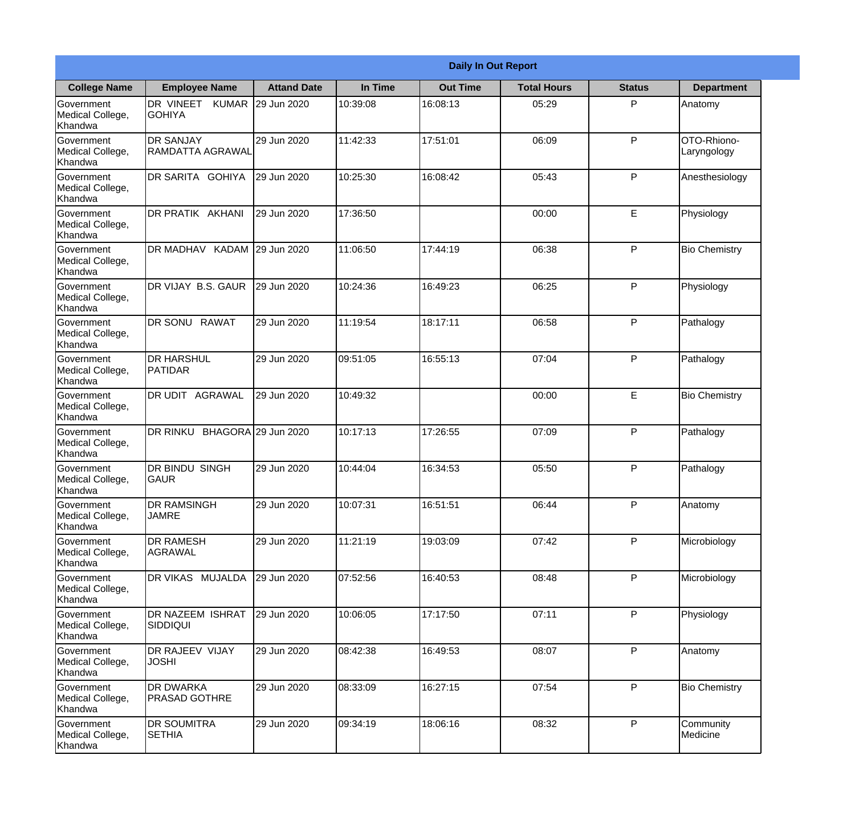|                                                  |                                          |                     |          | <b>Daily In Out Report</b> |                    |               |                            |
|--------------------------------------------------|------------------------------------------|---------------------|----------|----------------------------|--------------------|---------------|----------------------------|
| <b>College Name</b>                              | <b>Employee Name</b>                     | <b>Attand Date</b>  | In Time  | <b>Out Time</b>            | <b>Total Hours</b> | <b>Status</b> | <b>Department</b>          |
| Government<br>Medical College,<br>Khandwa        | DR VINEET KUMAR<br><b>GOHIYA</b>         | 29 Jun 2020         | 10:39:08 | 16:08:13                   | 05:29              | P             | Anatomy                    |
| Government<br>Medical College,<br>Khandwa        | <b>DR SANJAY</b><br>RAMDATTA AGRAWAL     | 29 Jun 2020         | 11:42:33 | 17:51:01                   | 06:09              | P             | OTO-Rhiono-<br>Laryngology |
| Government<br>Medical College,<br>Khandwa        | IDR SARITA GOHIYA                        | 29 Jun 2020         | 10:25:30 | 16:08:42                   | 05:43              | P             | Anesthesiology             |
| Government<br>Medical College,<br>Khandwa        | DR PRATIK AKHANI                         | 29 Jun 2020         | 17:36:50 |                            | 00:00              | E             | Physiology                 |
| Government<br>Medical College,<br>Khandwa        | DR MADHAV KADAM 29 Jun 2020              |                     | 11:06:50 | 17:44:19                   | 06:38              | P             | <b>Bio Chemistry</b>       |
| Government<br>Medical College,<br>Khandwa        | DR VIJAY B.S. GAUR                       | 29 Jun 2020         | 10:24:36 | 16:49:23                   | 06:25              | P             | Physiology                 |
| <b>Government</b><br>Medical College,<br>Khandwa | DR SONU RAWAT                            | 29 Jun 2020         | 11:19:54 | 18:17:11                   | 06:58              | P             | Pathalogy                  |
| Government<br>Medical College,<br>Khandwa        | <b>DR HARSHUL</b><br>PATIDAR             | 29 Jun 2020         | 09:51:05 | 16:55:13                   | 07:04              | P             | Pathalogy                  |
| Government<br>Medical College,<br>Khandwa        | <b>DR UDIT AGRAWAL</b>                   | 29 Jun 2020         | 10:49:32 |                            | 00:00              | E             | <b>Bio Chemistry</b>       |
| Government<br>Medical College,<br>Khandwa        | <b>DR RINKU</b>                          | BHAGORA 29 Jun 2020 | 10:17:13 | 17:26:55                   | 07:09              | P             | Pathalogy                  |
| Government<br>Medical College,<br>Khandwa        | <b>DR BINDU SINGH</b><br>lgaur           | 29 Jun 2020         | 10:44:04 | 16:34:53                   | 05:50              | P             | Pathalogy                  |
| Government<br>Medical College,<br>Khandwa        | <b>DR RAMSINGH</b><br><b>JAMRE</b>       | 29 Jun 2020         | 10:07:31 | 16:51:51                   | 06:44              | P             | Anatomy                    |
| Government<br>Medical College,<br>Khandwa        | <b>DR RAMESH</b><br>AGRAWAL              | 29 Jun 2020         | 11:21:19 | 19:03:09                   | 07:42              | P             | Microbiology               |
| Government<br>Medical College,<br>Khandwa        | DR VIKAS MUJALDA                         | 29 Jun 2020         | 07:52:56 | 16:40:53                   | 08:48              | P             | Microbiology               |
| <b>Government</b><br>Medical College,<br>Khandwa | <b>DR NAZEEM ISHRAT</b><br>SIDDIQUI      | 29 Jun 2020         | 10:06:05 | 17:17:50                   | 07:11              | P             | Physiology                 |
| Government<br>Medical College,<br>Khandwa        | <b>DR RAJEEV VIJAY</b><br><b>JOSHI</b>   | 29 Jun 2020         | 08:42:38 | 16:49:53                   | 08:07              | P             | Anatomy                    |
| Government<br>Medical College,<br>Khandwa        | <b>DR DWARKA</b><br><b>PRASAD GOTHRE</b> | 29 Jun 2020         | 08:33:09 | 16:27:15                   | 07:54              | P             | <b>Bio Chemistry</b>       |
| Government<br>Medical College,<br>Khandwa        | <b>DR SOUMITRA</b><br><b>SETHIA</b>      | 29 Jun 2020         | 09:34:19 | 18:06:16                   | 08:32              | P             | Community<br>Medicine      |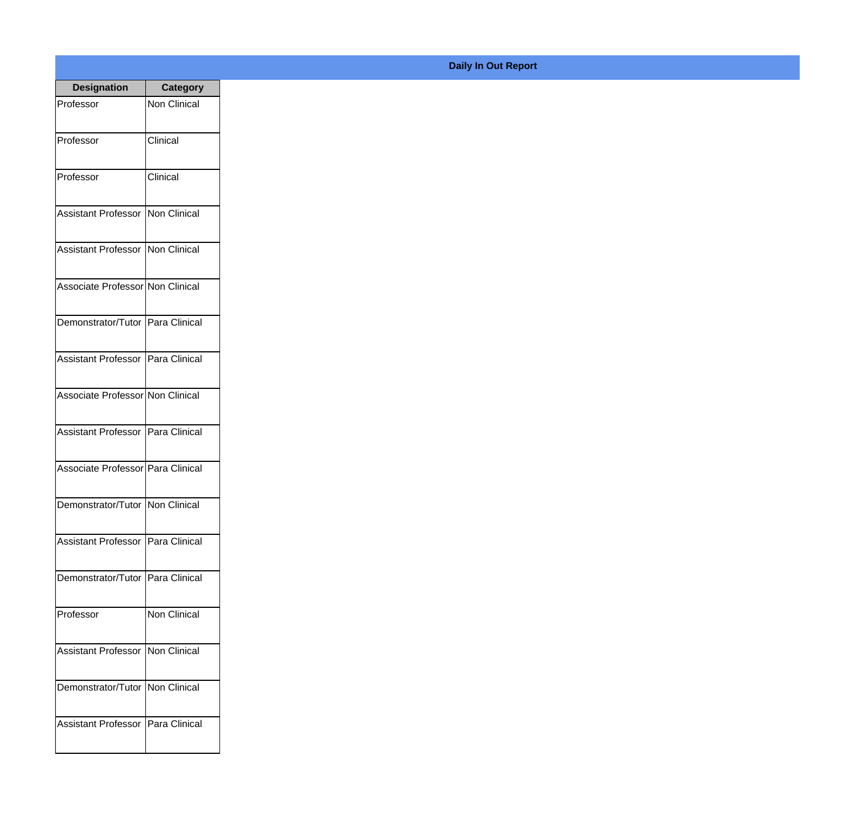| <b>Designation</b>                  | <b>Category</b>     |
|-------------------------------------|---------------------|
| Professor                           | <b>Non Clinical</b> |
| Professor                           | Clinical            |
| Professor                           | Clinical            |
| <b>Assistant Professor</b>          | Non Clinical        |
| <b>Assistant Professor</b>          | Non Clinical        |
| Associate Professor Non Clinical    |                     |
| Demonstrator/Tutor   Para Clinical  |                     |
| <b>Assistant Professor</b>          | Para Clinical       |
| Associate Professor Non Clinical    |                     |
| <b>Assistant Professor</b>          | Para Clinical       |
| Associate Professor   Para Clinical |                     |
| Demonstrator/Tutor   Non Clinical   |                     |
| Assistant Professor   Para Clinical |                     |
| Demonstrator/Tutor Para Clinical    |                     |
| Professor                           | Non Clinical        |
| <b>Assistant Professor</b>          | Non Clinical        |
| Demonstrator/Tutor   Non Clinical   |                     |
| Assistant Professor                 | Para Clinical       |

## **Daily In Out Report**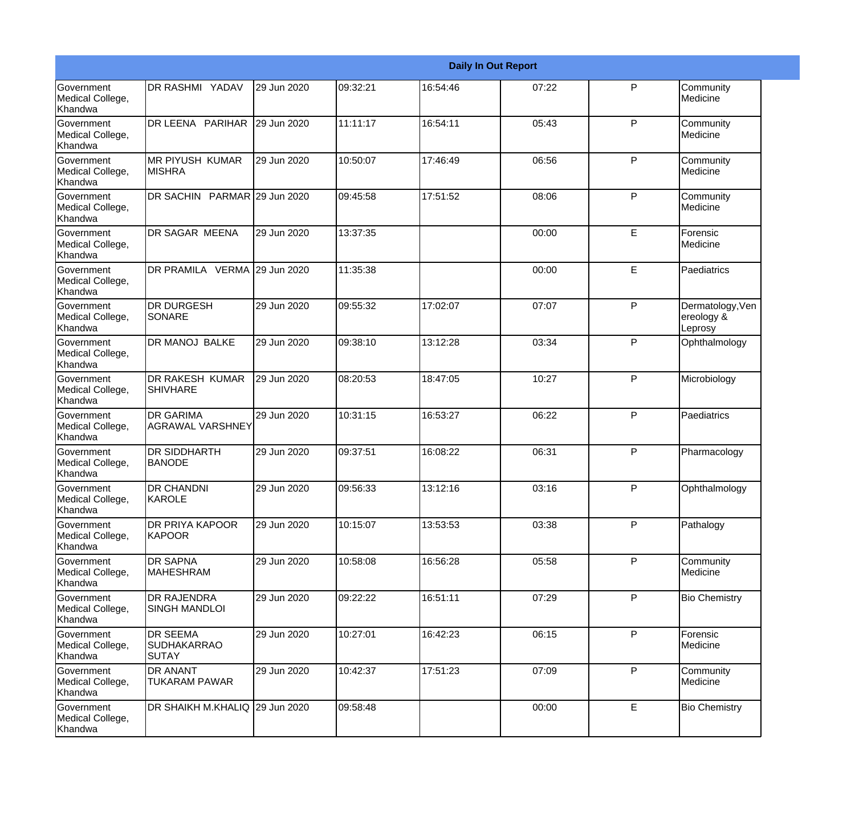|                                                  |                                                       |             |          |          | <b>Daily In Out Report</b> |              |                                           |
|--------------------------------------------------|-------------------------------------------------------|-------------|----------|----------|----------------------------|--------------|-------------------------------------------|
| Government<br>Medical College,<br>Khandwa        | <b>DR RASHMI YADAV</b>                                | 29 Jun 2020 | 09:32:21 | 16:54:46 | 07:22                      | P            | Community<br>Medicine                     |
| Government<br>Medical College,<br>Khandwa        | DR LEENA PARIHAR                                      | 29 Jun 2020 | 11:11:17 | 16:54:11 | 05:43                      | P            | Community<br>Medicine                     |
| <b>Government</b><br>Medical College,<br>Khandwa | IMR PIYUSH KUMAR<br>IMISHRA                           | 29 Jun 2020 | 10:50:07 | 17:46:49 | 06:56                      | P            | Community<br>Medicine                     |
| Government<br>Medical College,<br>Khandwa        | DR SACHIN PARMAR 29 Jun 2020                          |             | 09:45:58 | 17:51:52 | 08:06                      | P            | Community<br>Medicine                     |
| Government<br>Medical College,<br>Khandwa        | DR SAGAR MEENA                                        | 29 Jun 2020 | 13:37:35 |          | 00:00                      | E            | Forensic<br>Medicine                      |
| Government<br>Medical College,<br>Khandwa        | DR PRAMILA VERMA                                      | 29 Jun 2020 | 11:35:38 |          | 00:00                      | E            | Paediatrics                               |
| Government<br>Medical College,<br>Khandwa        | <b>DR DURGESH</b><br>SONARE                           | 29 Jun 2020 | 09:55:32 | 17:02:07 | 07:07                      | P            | Dermatology, Ven<br>ereology &<br>Leprosy |
| Government<br>Medical College,<br>Khandwa        | <b>DR MANOJ BALKE</b>                                 | 29 Jun 2020 | 09:38:10 | 13:12:28 | 03:34                      | P            | Ophthalmology                             |
| Government<br>Medical College,<br>Khandwa        | <b>DR RAKESH KUMAR</b><br><b>SHIVHARE</b>             | 29 Jun 2020 | 08:20:53 | 18:47:05 | 10:27                      | P            | Microbiology                              |
| Government<br>Medical College,<br>Khandwa        | <b>IDR GARIMA</b><br>AGRAWAL VARSHNEY                 | 29 Jun 2020 | 10:31:15 | 16:53:27 | 06:22                      | P            | Paediatrics                               |
| Government<br>Medical College,<br>Khandwa        | <b>DR SIDDHARTH</b><br><b>BANODE</b>                  | 29 Jun 2020 | 09:37:51 | 16:08:22 | 06:31                      | P            | Pharmacology                              |
| Government<br>Medical College,<br>Khandwa        | <b>DR CHANDNI</b><br>KAROLE                           | 29 Jun 2020 | 09:56:33 | 13:12:16 | 03:16                      | P            | Ophthalmology                             |
| Government<br>Medical College,<br>Khandwa        | DR PRIYA KAPOOR<br>KAPOOR                             | 29 Jun 2020 | 10:15:07 | 13:53:53 | 03:38                      | P            | Pathalogy                                 |
| Government<br>Medical College,<br>Khandwa        | <b>DR SAPNA</b><br><b>MAHESHRAM</b>                   | 29 Jun 2020 | 10:58:08 | 16:56:28 | 05:58                      | $\mathsf{P}$ | Community<br>Medicine                     |
| Government<br>Medical College,<br>Khandwa        | <b>DR RAJENDRA</b><br><b>SINGH MANDLOI</b>            | 29 Jun 2020 | 09:22:22 | 16:51:11 | 07:29                      | P            | <b>Bio Chemistry</b>                      |
| Government<br>Medical College,<br>Khandwa        | <b>DR SEEMA</b><br><b>SUDHAKARRAO</b><br><b>SUTAY</b> | 29 Jun 2020 | 10:27:01 | 16:42:23 | 06:15                      | P            | Forensic<br>Medicine                      |
| Government<br>Medical College,<br>Khandwa        | <b>DR ANANT</b><br><b>TUKARAM PAWAR</b>               | 29 Jun 2020 | 10:42:37 | 17:51:23 | 07:09                      | P            | Community<br>Medicine                     |
| Government<br>Medical College,<br>Khandwa        | DR SHAIKH M.KHALIQ 29 Jun 2020                        |             | 09:58:48 |          | 00:00                      | E            | <b>Bio Chemistry</b>                      |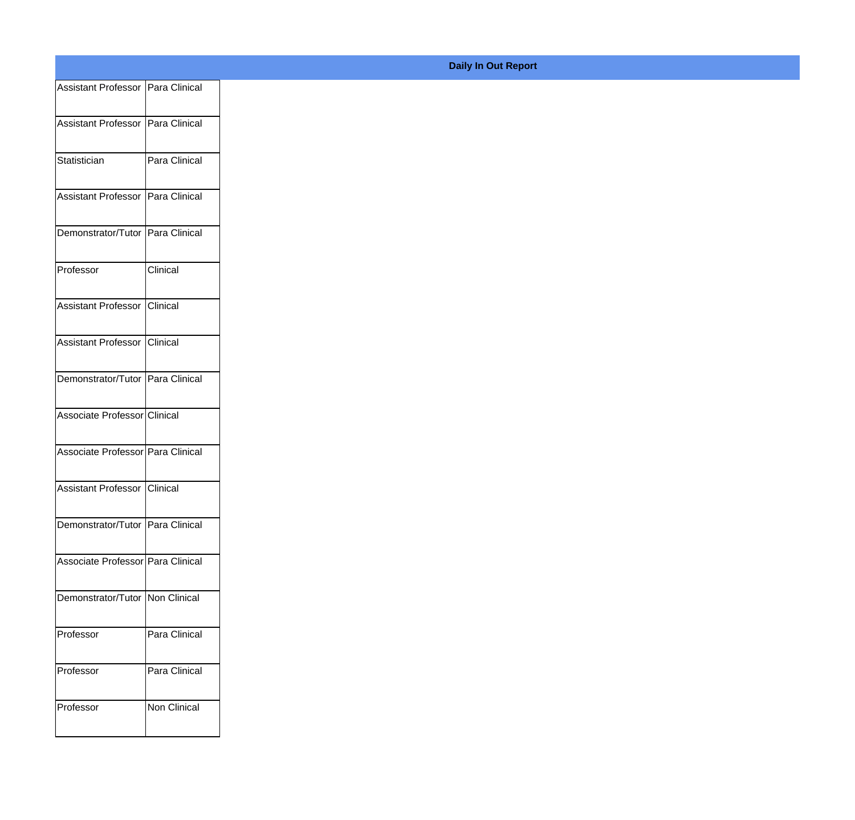|                                    | Assistant Professor   Para Clinical |
|------------------------------------|-------------------------------------|
| Assistant Professor Para Clinical  |                                     |
|                                    |                                     |
| Statistician                       | Para Clinical                       |
| Assistant Professor Para Clinical  |                                     |
| Demonstrator/Tutor Para Clinical   |                                     |
| Professor                          | Clinical                            |
| Assistant Professor Clinical       |                                     |
| Assistant Professor Clinical       |                                     |
| Demonstrator/Tutor Para Clinical   |                                     |
| Associate Professor Clinical       |                                     |
|                                    |                                     |
| Associate Professor Para Clinical  |                                     |
| Assistant Professor Clinical       |                                     |
| Demonstrator/Tutor   Para Clinical |                                     |
| Associate Professor Para Clinical  |                                     |
| Demonstrator/Tutor Non Clinical    |                                     |
|                                    |                                     |
| Professor                          | Para Clinical                       |
|                                    | Para Clinical                       |
| Professor                          |                                     |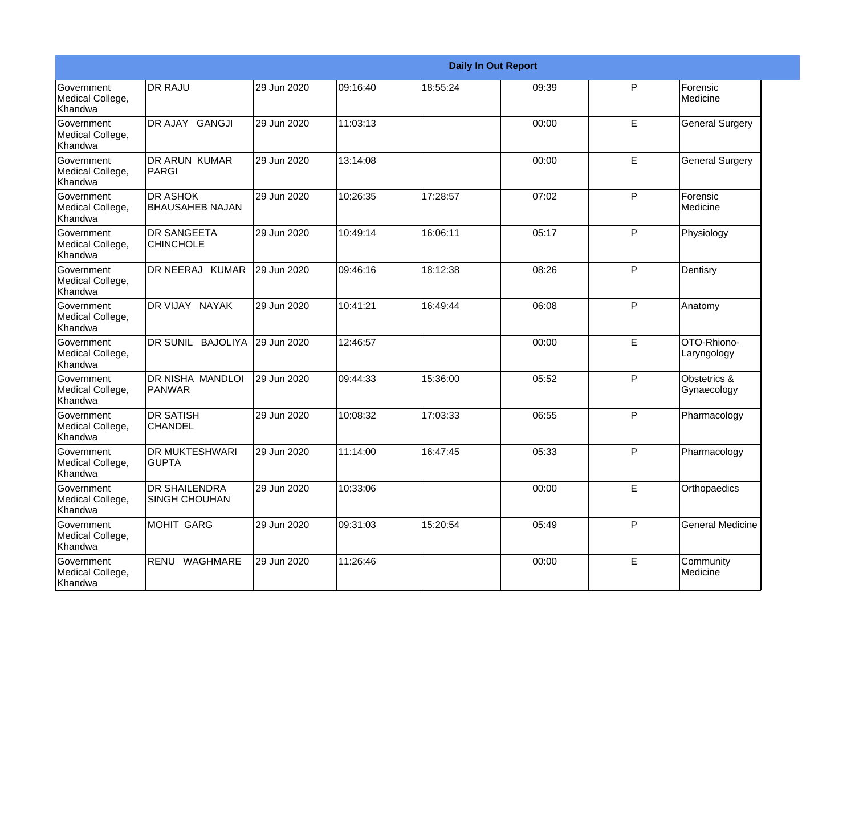|                                                  |                                              |             |          |          | <b>Daily In Out Report</b> |    |                             |
|--------------------------------------------------|----------------------------------------------|-------------|----------|----------|----------------------------|----|-----------------------------|
| <b>Government</b><br>Medical College,<br>Khandwa | <b>DR RAJU</b>                               | 29 Jun 2020 | 09:16:40 | 18:55:24 | 09:39                      | P  | Forensic<br>Medicine        |
| Government<br>Medical College,<br>Khandwa        | DR AJAY GANGJI                               | 29 Jun 2020 | 11:03:13 |          | 00:00                      | E  | <b>General Surgery</b>      |
| <b>Government</b><br>Medical College,<br>Khandwa | DR ARUN KUMAR<br>IPARGI                      | 29 Jun 2020 | 13:14:08 |          | 00:00                      | E  | <b>General Surgery</b>      |
| Government<br>Medical College,<br>Khandwa        | <b>DR ASHOK</b><br><b>BHAUSAHEB NAJAN</b>    | 29 Jun 2020 | 10:26:35 | 17:28:57 | 07:02                      | P  | Forensic<br>Medicine        |
| Government<br>Medical College,<br>Khandwa        | <b>DR SANGEETA</b><br><b>CHINCHOLE</b>       | 29 Jun 2020 | 10:49:14 | 16:06:11 | 05:17                      | P  | Physiology                  |
| Government<br>Medical College,<br>Khandwa        | DR NEERAJ KUMAR                              | 29 Jun 2020 | 09:46:16 | 18:12:38 | 08:26                      | P  | Dentisry                    |
| <b>Government</b><br>Medical College,<br>Khandwa | DR VIJAY NAYAK                               | 29 Jun 2020 | 10:41:21 | 16:49:44 | 06:08                      | P  | Anatomy                     |
| Government<br>Medical College,<br>Khandwa        | DR SUNIL BAJOLIYA                            | 29 Jun 2020 | 12:46:57 |          | 00:00                      | E  | OTO-Rhiono-<br>Laryngology  |
| Government<br>Medical College,<br>Khandwa        | <b>DR NISHA MANDLOI</b><br>PANWAR            | 29 Jun 2020 | 09:44:33 | 15:36:00 | 05:52                      | P  | Obstetrics &<br>Gynaecology |
| Government<br>Medical College,<br>Khandwa        | <b>DR SATISH</b><br><b>CHANDEL</b>           | 29 Jun 2020 | 10:08:32 | 17:03:33 | 06:55                      | P  | Pharmacology                |
| <b>Government</b><br>Medical College,<br>Khandwa | <b>DR MUKTESHWARI</b><br><b>GUPTA</b>        | 29 Jun 2020 | 11:14:00 | 16:47:45 | 05:33                      | P  | Pharmacology                |
| Government<br>Medical College,<br>Khandwa        | <b>DR SHAILENDRA</b><br><b>SINGH CHOUHAN</b> | 29 Jun 2020 | 10:33:06 |          | 00:00                      | E  | Orthopaedics                |
| Government<br>Medical College,<br>Khandwa        | <b>MOHIT GARG</b>                            | 29 Jun 2020 | 09:31:03 | 15:20:54 | 05:49                      | P  | <b>General Medicine</b>     |
| Government<br>Medical College,<br>Khandwa        | RENU WAGHMARE                                | 29 Jun 2020 | 11:26:46 |          | 00:00                      | E. | Community<br>Medicine       |